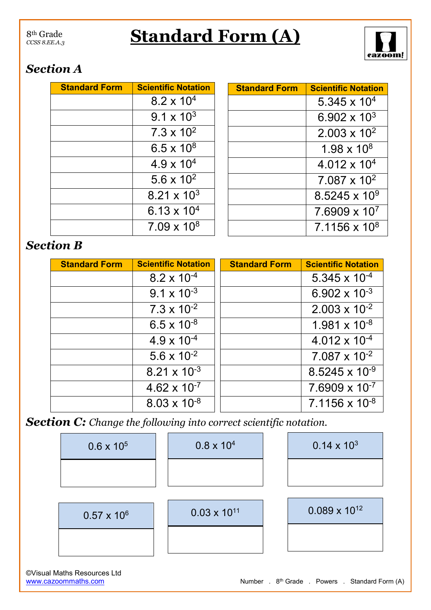## 8th Grade *CCSS 8.EE.A.3*

## **Standard Form (A)**



## *Section A*

| <b>Standard Form</b> | <b>Scientific Notation</b> |  |
|----------------------|----------------------------|--|
|                      | $8.2 \times 10^{4}$        |  |
|                      | $9.1 \times 10^{3}$        |  |
|                      | $7.3 \times 10^{2}$        |  |
|                      | $6.5 \times 10^{8}$        |  |
|                      | $4.9 \times 10^{4}$        |  |
|                      | 5.6 x $10^2$               |  |
|                      | $8.21 \times 10^{3}$       |  |
|                      | 6.13 x $10^4$              |  |
|                      | $7.09 \times 10^8$         |  |

| <b>Standard Form</b> | <b>Scientific Notation</b> |
|----------------------|----------------------------|
|                      | 5.345 x $104$              |
|                      | 6.902 x $10^3$             |
|                      | $2.003 \times 10^{2}$      |
|                      | $1.98 \times 10^8$         |
|                      | $4.012 \times 10^{4}$      |
|                      | $7.087 \times 10^{2}$      |
|                      | $8.5245 \times 10^9$       |
|                      | $7.6909 \times 10^{7}$     |
|                      | $7.1156 \times 10^8$       |

## *Section B*

| <b>Standard Form</b> | <b>Scientific Notation</b> | <b>Standard Form</b> | <b>Scientific Notation</b> |
|----------------------|----------------------------|----------------------|----------------------------|
|                      | $8.2 \times 10^{-4}$       |                      | $5.345 \times 10^{-4}$     |
|                      | $9.1 \times 10^{-3}$       |                      | 6.902 x $10^{-3}$          |
|                      | $7.3 \times 10^{-2}$       |                      | $2.003 \times 10^{-2}$     |
|                      | $6.5 \times 10^{-8}$       |                      | $1.981 \times 10^{-8}$     |
|                      | $4.9 \times 10^{-4}$       |                      | $4.012 \times 10^{-4}$     |
|                      | $5.6 \times 10^{-2}$       |                      | $7.087 \times 10^{-2}$     |
|                      | $8.21 \times 10^{-3}$      |                      | $8.5245 \times 10^{-9}$    |
|                      | $4.62 \times 10^{-7}$      |                      | $7.6909 \times 10^{-7}$    |
|                      | $8.03 \times 10^{-8}$      |                      | $7.1156 \times 10^{-8}$    |

*Section C: Change the following into correct scientific notation.*

| $0.6 \times 10^{5}$  | $0.8 \times 10^{4}$   | $0.14 \times 10^{3}$   |
|----------------------|-----------------------|------------------------|
|                      |                       |                        |
|                      |                       |                        |
| $0.57 \times 10^{6}$ | $0.03 \times 10^{11}$ | $0.089 \times 10^{12}$ |
|                      |                       |                        |
|                      |                       |                        |

©Visual Maths Resources Ltd [www.cazoommaths.com](file:///G:/Maths%20Resources/Number/13.%20Powers/www.cazoommathsworksheets.com)